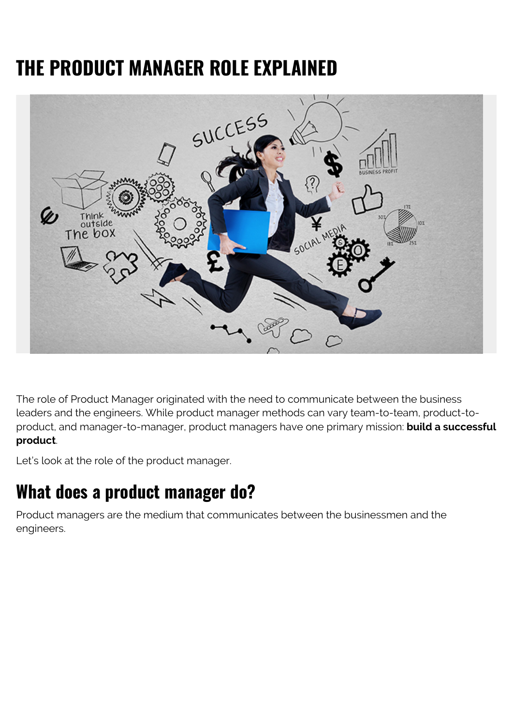# **THE PRODUCT MANAGER ROLE EXPLAINED**



The role of Product Manager originated with the need to communicate between the business leaders and the engineers. While product manager methods can vary team-to-team, product-toproduct, and manager-to-manager, product managers have one primary mission: **build a successful product**.

Let's look at the role of the product manager.

#### **What does a product manager do?**

Product managers are the medium that communicates between the businessmen and the engineers.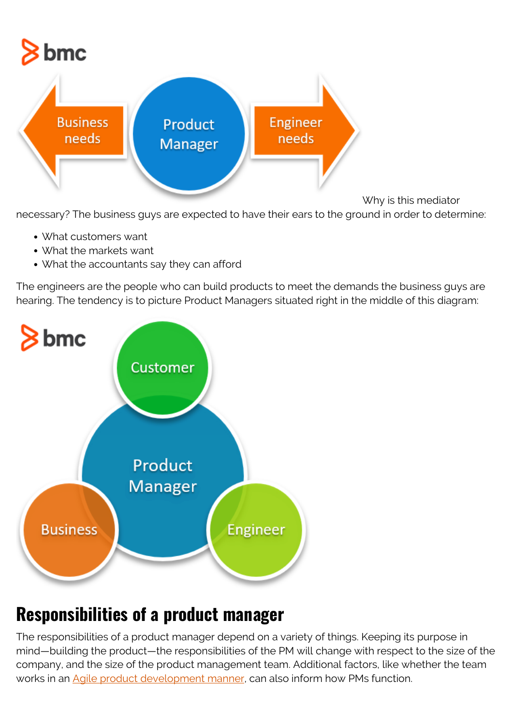

Why is this mediator

necessary? The business guys are expected to have their ears to the ground in order to determine:

- What customers want
- What the markets want
- What the accountants say they can afford

The engineers are the people who can build products to meet the demands the business guys are hearing. The tendency is to picture Product Managers situated right in the middle of this diagram:



# **Responsibilities of a product manager**

The responsibilities of a product manager depend on a variety of things. Keeping its purpose in mind—building the product—the responsibilities of the PM will change with respect to the size of the company, and the size of the product management team. Additional factors, like whether the team works in an [Agile product development manner,](https://blogs.bmc.com/blogs/agile-scrum-getting-started/) can also inform how PMs function.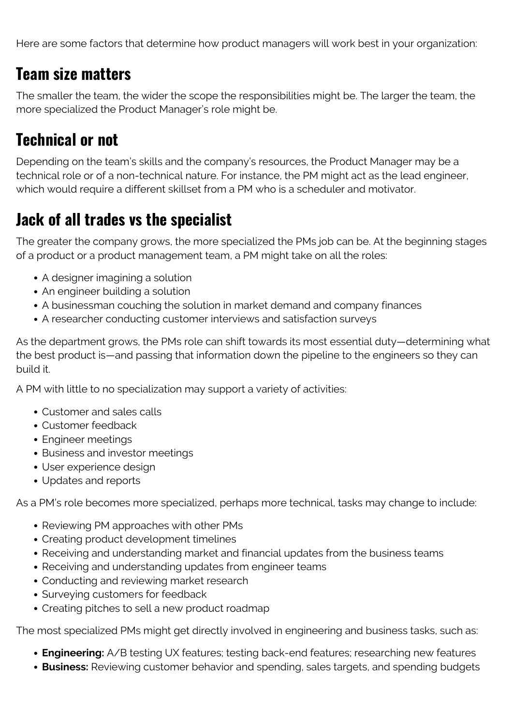Here are some factors that determine how product managers will work best in your organization:

#### **Team size matters**

The smaller the team, the wider the scope the responsibilities might be. The larger the team, the more specialized the Product Manager's role might be.

#### **Technical or not**

Depending on the team's skills and the company's resources, the Product Manager may be a technical role or of a non-technical nature. For instance, the PM might act as the lead engineer, which would require a different skillset from a PM who is a scheduler and motivator.

#### **Jack of all trades vs the specialist**

The greater the company grows, the more specialized the PMs job can be. At the beginning stages of a product or a product management team, a PM might take on all the roles:

- A designer imagining a solution
- An engineer building a solution
- A businessman couching the solution in market demand and company finances
- A researcher conducting customer interviews and satisfaction surveys

As the department grows, the PMs role can shift towards its most essential duty—determining what the best product is—and passing that information down the pipeline to the engineers so they can build it.

A PM with little to no specialization may support a variety of activities:

- Customer and sales calls
- Customer feedback
- Engineer meetings
- Business and investor meetings
- User experience design
- Updates and reports

As a PM's role becomes more specialized, perhaps more technical, tasks may change to include:

- Reviewing PM approaches with other PMs
- Creating product development timelines
- Receiving and understanding market and financial updates from the business teams
- Receiving and understanding updates from engineer teams
- Conducting and reviewing market research
- Surveying customers for feedback
- Creating pitches to sell a new product roadmap

The most specialized PMs might get directly involved in engineering and business tasks, such as:

- **Engineering:** A/B testing UX features; testing back-end features; researching new features
- **Business:** Reviewing customer behavior and spending, sales targets, and spending budgets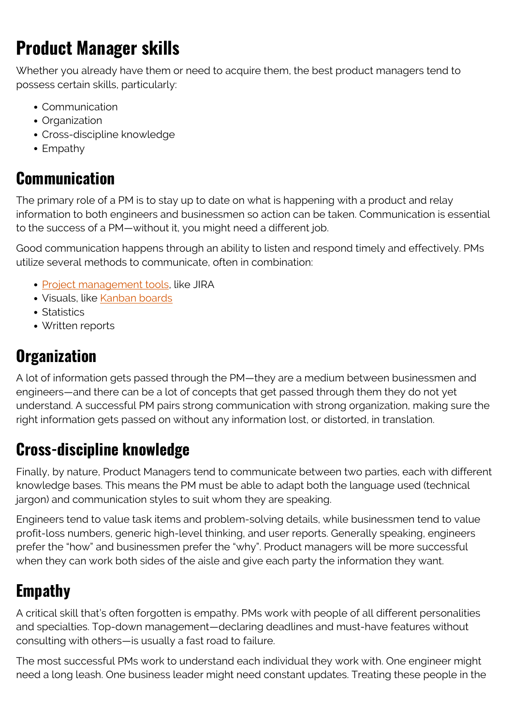# **Product Manager skills**

Whether you already have them or need to acquire them, the best product managers tend to possess certain skills, particularly:

- Communication
- Organization
- Cross-discipline knowledge
- Empathy

#### **Communication**

The primary role of a PM is to stay up to date on what is happening with a product and relay information to both engineers and businessmen so action can be taken. Communication is essential to the success of a PM—without it, you might need a different job.

Good communication happens through an ability to listen and respond timely and effectively. PMs utilize several methods to communicate, often in combination:

- [Project management tools](https://blogs.bmc.com/blogs/project-management-process-templates-best-practices/), like JIRA
- Visuals, like [Kanban boards](https://blogs.bmc.com/blogs/scrum-vs-kanban/)
- Statistics
- Written reports

#### **Organization**

A lot of information gets passed through the PM—they are a medium between businessmen and engineers—and there can be a lot of concepts that get passed through them they do not yet understand. A successful PM pairs strong communication with strong organization, making sure the right information gets passed on without any information lost, or distorted, in translation.

#### **Cross-discipline knowledge**

Finally, by nature, Product Managers tend to communicate between two parties, each with different knowledge bases. This means the PM must be able to adapt both the language used (technical jargon) and communication styles to suit whom they are speaking.

Engineers tend to value task items and problem-solving details, while businessmen tend to value profit-loss numbers, generic high-level thinking, and user reports. Generally speaking, engineers prefer the "how" and businessmen prefer the "why". Product managers will be more successful when they can work both sides of the aisle and give each party the information they want.

### **Empathy**

A critical skill that's often forgotten is empathy. PMs work with people of all different personalities and specialties. Top-down management—declaring deadlines and must-have features without consulting with others—is usually a fast road to failure.

The most successful PMs work to understand each individual they work with. One engineer might need a long leash. One business leader might need constant updates. Treating these people in the